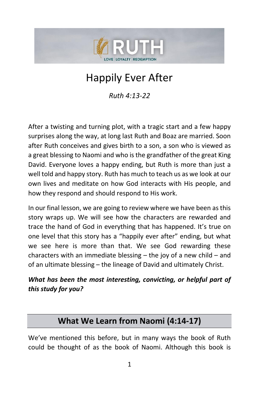

# Happily Ever After

*Ruth 4:13-22*

After a twisting and turning plot, with a tragic start and a few happy surprises along the way, at long last Ruth and Boaz are married. Soon after Ruth conceives and gives birth to a son, a son who is viewed as a great blessing to Naomi and who is the grandfather of the great King David. Everyone loves a happy ending, but Ruth is more than just a well told and happy story. Ruth has much to teach us as we look at our own lives and meditate on how God interacts with His people, and how they respond and should respond to His work.

In our final lesson, we are going to review where we have been as this story wraps up. We will see how the characters are rewarded and trace the hand of God in everything that has happened. It's true on one level that this story has a "happily ever after" ending, but what we see here is more than that. We see God rewarding these characters with an immediate blessing – the joy of a new child – and of an ultimate blessing – the lineage of David and ultimately Christ.

### *What has been the most interesting, convicting, or helpful part of this study for you?*

# **What We Learn from Naomi (4:14-17)**

We've mentioned this before, but in many ways the book of Ruth could be thought of as the book of Naomi. Although this book is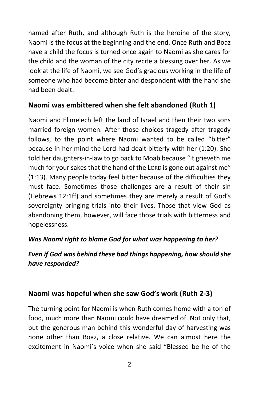named after Ruth, and although Ruth is the heroine of the story, Naomi is the focus at the beginning and the end. Once Ruth and Boaz have a child the focus is turned once again to Naomi as she cares for the child and the woman of the city recite a blessing over her. As we look at the life of Naomi, we see God's gracious working in the life of someone who had become bitter and despondent with the hand she had been dealt.

### **Naomi was embittered when she felt abandoned (Ruth 1)**

Naomi and Elimelech left the land of Israel and then their two sons married foreign women. After those choices tragedy after tragedy follows, to the point where Naomi wanted to be called "bitter" because in her mind the Lord had dealt bitterly with her (1:20). She told her daughters-in-law to go back to Moab because "it grieveth me much for your sakes that the hand of the LORD is gone out against me" (1:13). Many people today feel bitter because of the difficulties they must face. Sometimes those challenges are a result of their sin (Hebrews 12:1ff) and sometimes they are merely a result of God's sovereignty bringing trials into their lives. Those that view God as abandoning them, however, will face those trials with bitterness and hopelessness.

### *Was Naomi right to blame God for what was happening to her?*

### *Even if God was behind these bad things happening, how should she have responded?*

### **Naomi was hopeful when she saw God's work (Ruth 2-3)**

The turning point for Naomi is when Ruth comes home with a ton of food, much more than Naomi could have dreamed of. Not only that, but the generous man behind this wonderful day of harvesting was none other than Boaz, a close relative. We can almost here the excitement in Naomi's voice when she said "Blessed be he of the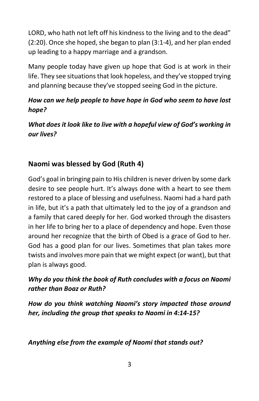LORD, who hath not left off his kindness to the living and to the dead" (2:20). Once she hoped, she began to plan (3:1-4), and her plan ended up leading to a happy marriage and a grandson.

Many people today have given up hope that God is at work in their life. They see situations that look hopeless, and they've stopped trying and planning because they've stopped seeing God in the picture.

### *How can we help people to have hope in God who seem to have lost hope?*

*What does it look like to live with a hopeful view of God's working in our lives?*

# **Naomi was blessed by God (Ruth 4)**

God's goal in bringing pain to His children is never driven by some dark desire to see people hurt. It's always done with a heart to see them restored to a place of blessing and usefulness. Naomi had a hard path in life, but it's a path that ultimately led to the joy of a grandson and a family that cared deeply for her. God worked through the disasters in her life to bring her to a place of dependency and hope. Even those around her recognize that the birth of Obed is a grace of God to her. God has a good plan for our lives. Sometimes that plan takes more twists and involves more pain that we might expect (or want), but that plan is always good.

### *Why do you think the book of Ruth concludes with a focus on Naomi rather than Boaz or Ruth?*

*How do you think watching Naomi's story impacted those around her, including the group that speaks to Naomi in 4:14-15?*

*Anything else from the example of Naomi that stands out?*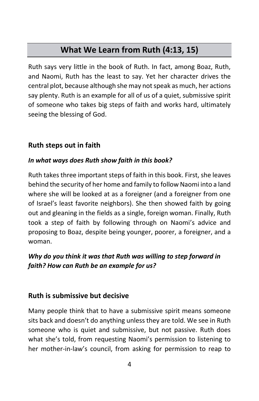# **What We Learn from Ruth (4:13, 15)**

Ruth says very little in the book of Ruth. In fact, among Boaz, Ruth, and Naomi, Ruth has the least to say. Yet her character drives the central plot, because although she may not speak as much, her actions say plenty. Ruth is an example for all of us of a quiet, submissive spirit of someone who takes big steps of faith and works hard, ultimately seeing the blessing of God.

### **Ruth steps out in faith**

#### *In what ways does Ruth show faith in this book?*

Ruth takes three important steps of faith in this book. First, she leaves behind the security of her home and family to follow Naomi into a land where she will be looked at as a foreigner (and a foreigner from one of Israel's least favorite neighbors). She then showed faith by going out and gleaning in the fields as a single, foreign woman. Finally, Ruth took a step of faith by following through on Naomi's advice and proposing to Boaz, despite being younger, poorer, a foreigner, and a woman.

### *Why do you think it was that Ruth was willing to step forward in faith? How can Ruth be an example for us?*

#### **Ruth is submissive but decisive**

Many people think that to have a submissive spirit means someone sits back and doesn't do anything unless they are told. We see in Ruth someone who is quiet and submissive, but not passive. Ruth does what she's told, from requesting Naomi's permission to listening to her mother-in-law's council, from asking for permission to reap to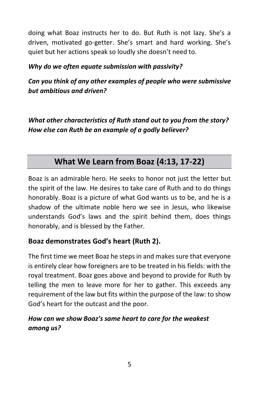doing what Boaz instructs her to do. But Ruth is not lazy. She's a driven, motivated go-getter. She's smart and hard working. She's quiet but her actions speak so loudly she doesn't need to.

### *Why do we often equate submission with passivity?*

*Can you think of any other examples of people who were submissive but ambitious and driven?*

*What other characteristics of Ruth stand out to you from the story? How else can Ruth be an example of a godly believer?*

# **What We Learn from Boaz (4:13, 17-22)**

Boaz is an admirable hero. He seeks to honor not just the letter but the spirit of the law. He desires to take care of Ruth and to do things honorably. Boaz is a picture of what God wants us to be, and he is a shadow of the ultimate noble hero we see in Jesus, who likewise understands God's laws and the spirit behind them, does things honorably, and is blessed by the Father.

### **Boaz demonstrates God's heart (Ruth 2).**

The first time we meet Boaz he steps in and makes sure that everyone is entirely clear how foreigners are to be treated in his fields: with the royal treatment. Boaz goes above and beyond to provide for Ruth by telling the men to leave more for her to gather. This exceeds any requirement of the law but fits within the purpose of the law: to show God's heart for the outcast and the poor.

### *How can we show Boaz's same heart to care for the weakest among us?*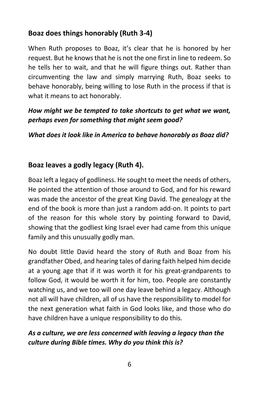## **Boaz does things honorably (Ruth 3-4)**

When Ruth proposes to Boaz, it's clear that he is honored by her request. But he knows that he is not the one first in line to redeem. So he tells her to wait, and that he will figure things out. Rather than circumventing the law and simply marrying Ruth, Boaz seeks to behave honorably, being willing to lose Ruth in the process if that is what it means to act honorably.

### *How might we be tempted to take shortcuts to get what we want, perhaps even for something that might seem good?*

*What does it look like in America to behave honorably as Boaz did?*

# **Boaz leaves a godly legacy (Ruth 4).**

Boaz left a legacy of godliness. He sought to meet the needs of others, He pointed the attention of those around to God, and for his reward was made the ancestor of the great King David. The genealogy at the end of the book is more than just a random add-on. It points to part of the reason for this whole story by pointing forward to David, showing that the godliest king Israel ever had came from this unique family and this unusually godly man.

No doubt little David heard the story of Ruth and Boaz from his grandfather Obed, and hearing tales of daring faith helped him decide at a young age that if it was worth it for his great-grandparents to follow God, it would be worth it for him, too. People are constantly watching us, and we too will one day leave behind a legacy. Although not all will have children, all of us have the responsibility to model for the next generation what faith in God looks like, and those who do have children have a unique responsibility to do this.

### *As a culture, we are less concerned with leaving a legacy than the culture during Bible times. Why do you think this is?*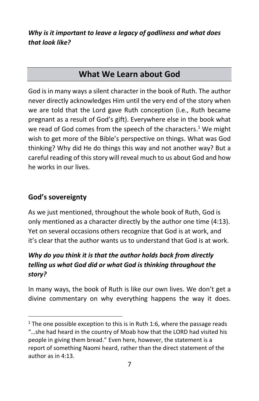*Why is it important to leave a legacy of godliness and what does that look like?*

# **What We Learn about God**

God is in many ways a silent character in the book of Ruth. The author never directly acknowledges Him until the very end of the story when we are told that the Lord gave Ruth conception (i.e., Ruth became pregnant as a result of God's gift). Everywhere else in the book what we read of God comes from the speech of the characters.<sup>1</sup> We might wish to get more of the Bible's perspective on things. What was God thinking? Why did He do things this way and not another way? But a careful reading of this story will reveal much to us about God and how he works in our lives.

### **God's sovereignty**

As we just mentioned, throughout the whole book of Ruth, God is only mentioned as a character directly by the author one time (4:13). Yet on several occasions others recognize that God is at work, and it's clear that the author wants us to understand that God is at work.

# *Why do you think it is that the author holds back from directly telling us what God did or what God is thinking throughout the story?*

In many ways, the book of Ruth is like our own lives. We don't get a divine commentary on why everything happens the way it does.

 $1$  The one possible exception to this is in Ruth 1:6, where the passage reads "…she had heard in the country of Moab how that the LORD had visited his people in giving them bread." Even here, however, the statement is a report of something Naomi heard, rather than the direct statement of the author as in 4:13.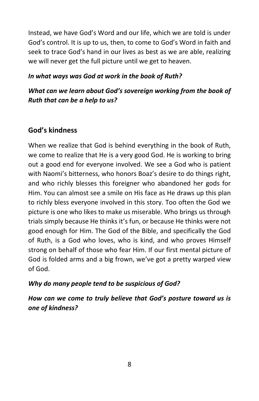Instead, we have God's Word and our life, which we are told is under God's control. It is up to us, then, to come to God's Word in faith and seek to trace God's hand in our lives as best as we are able, realizing we will never get the full picture until we get to heaven.

### *In what ways was God at work in the book of Ruth?*

### *What can we learn about God's sovereign working from the book of Ruth that can be a help to us?*

### **God's kindness**

When we realize that God is behind everything in the book of Ruth, we come to realize that He is a very good God. He is working to bring out a good end for everyone involved. We see a God who is patient with Naomi's bitterness, who honors Boaz's desire to do things right, and who richly blesses this foreigner who abandoned her gods for Him. You can almost see a smile on His face as He draws up this plan to richly bless everyone involved in this story. Too often the God we picture is one who likes to make us miserable. Who brings us through trials simply because He thinks it's fun, or because He thinks were not good enough for Him. The God of the Bible, and specifically the God of Ruth, is a God who loves, who is kind, and who proves Himself strong on behalf of those who fear Him. If our first mental picture of God is folded arms and a big frown, we've got a pretty warped view of God.

#### *Why do many people tend to be suspicious of God?*

*How can we come to truly believe that God's posture toward us is one of kindness?*